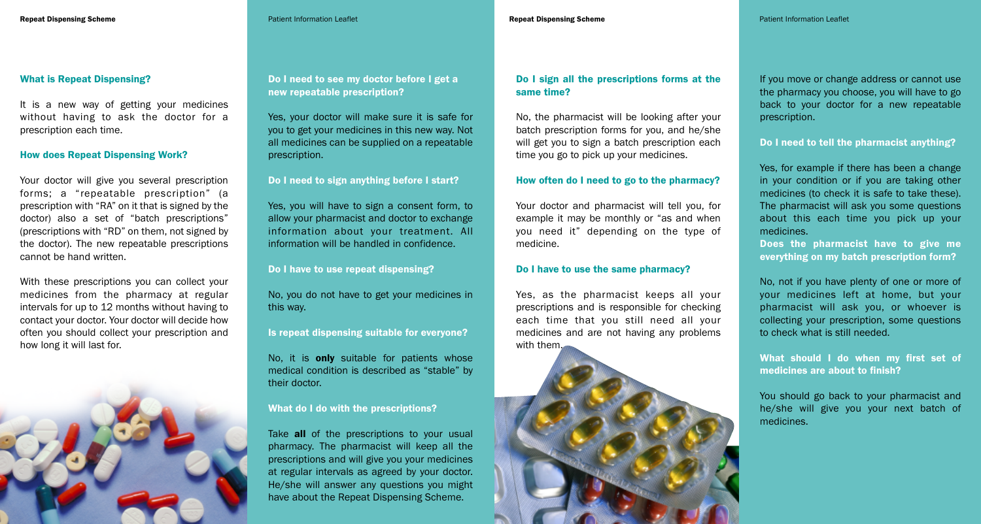#### **Repeat Dispensing Scheme** Patient Information Leaflet **Repeat Dispensing Scheme** Patient Information Leaflet

## **What is Repeat Dispensing?**

It is a new way of getting your medicines without having to ask the doctor for a prescription each time.

### **How does Repeat Dispensing Work?**

Your doctor will give you several prescription forms; a "repeatable prescription" (a prescription with "RA" on it that is signed by the doctor) also a set of "batch prescriptions" (prescriptions with "RD" on them, not signed by the doctor). The new repeatable prescriptions cannot be hand written.

With these prescriptions you can collect your medicines from the pharmacy at regular intervals for up to 12 months without having to contact your doctor. Your doctor will decide how often you should collect your prescription and how long it will last for.



**Do I need to see my doctor before I get a new repeatable prescription?**

Yes, your doctor will make sure it is safe for you to get your medicines in this new way. Not all medicines can be supplied on a repeatable prescription.

### **Do I need to sign anything before I start?**

Yes, you will have to sign a consent form, to allow your pharmacist and doctor to exchange information about your treatment. All information will be handled in confidence.

**Do I have to use repeat dispensing?**

No, you do not have to get your medicines in this way.

**Is repeat dispensing suitable for everyone?**

No, it is **only** suitable for patients whose medical condition is described as "stable" by their doctor.

### **What do I do with the prescriptions?**

Take **all** of the prescriptions to your usual pharmacy. The pharmacist will keep all the prescriptions and will give you your medicines at regular intervals as agreed by your doctor. He/she will answer any questions you might have about the Repeat Dispensing Scheme.

# **Do I sign all the prescriptions forms at the same time?**

No, the pharmacist will be looking after your batch prescription forms for you, and he/she will get you to sign a batch prescription each time you go to pick up your medicines.

#### **How often do I need to go to the pharmacy?**

Your doctor and pharmacist will tell you, for example it may be monthly or "as and when you need it" depending on the type of medicine.

### **Do I have to use the same pharmacy?**

Yes, as the pharmacist keeps all your prescriptions and is responsible for checking each time that you still need all your medicines and are not having any problems with them.



If you move or change address or cannot use the pharmacy you choose, you will have to go back to your doctor for a new repeatable prescription.

### **Do I need to tell the pharmacist anything?**

Yes, for example if there has been a change in your condition or if you are taking other medicines (to check it is safe to take these). The pharmacist will ask you some questions about this each time you pick up your medicines.

**Does the pharmacist have to give me everything on my batch prescription form?**

No, not if you have plenty of one or more of your medicines left at home, but your pharmacist will ask you, or whoever is collecting your prescription, some questions to check what is still needed.

**What should I do when my first set of medicines are about to finish?**

You should go back to your pharmacist and he/she will give you your next batch of medicines.